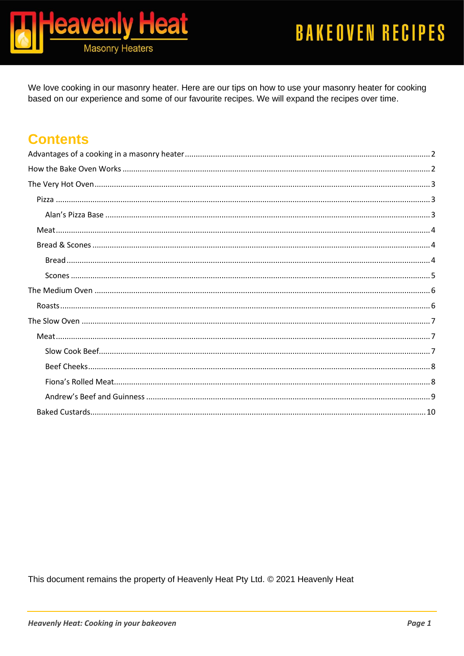

We love cooking in our masonry heater. Here are our tips on how to use your masonry heater for cooking based on our experience and some of our favourite recipes. We will expand the recipes over time.

# **Contents**

This document remains the property of Heavenly Heat Pty Ltd. © 2021 Heavenly Heat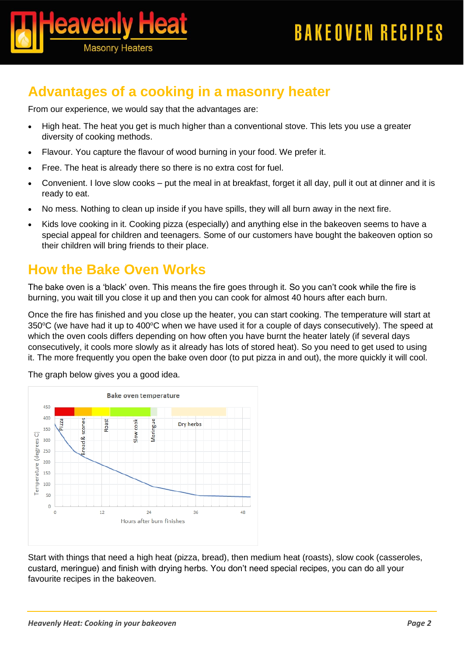

# <span id="page-1-0"></span>**Advantages of a cooking in a masonry heater**

From our experience, we would say that the advantages are:

- High heat. The heat you get is much higher than a conventional stove. This lets you use a greater diversity of cooking methods.
- Flavour. You capture the flavour of wood burning in your food. We prefer it.
- Free. The heat is already there so there is no extra cost for fuel.
- Convenient. I love slow cooks put the meal in at breakfast, forget it all day, pull it out at dinner and it is ready to eat.
- No mess. Nothing to clean up inside if you have spills, they will all burn away in the next fire.
- Kids love cooking in it. Cooking pizza (especially) and anything else in the bakeoven seems to have a special appeal for children and teenagers. Some of our customers have bought the bakeoven option so their children will bring friends to their place.

# <span id="page-1-1"></span>**How the Bake Oven Works**

The bake oven is a 'black' oven. This means the fire goes through it. So you can't cook while the fire is burning, you wait till you close it up and then you can cook for almost 40 hours after each burn.

Once the fire has finished and you close up the heater, you can start cooking. The temperature will start at 350°C (we have had it up to 400°C when we have used it for a couple of days consecutively). The speed at which the oven cools differs depending on how often you have burnt the heater lately (if several days consecutively, it cools more slowly as it already has lots of stored heat). So you need to get used to using it. The more frequently you open the bake oven door (to put pizza in and out), the more quickly it will cool.



The graph below gives you a good idea.

Start with things that need a high heat (pizza, bread), then medium heat (roasts), slow cook (casseroles, custard, meringue) and finish with drying herbs. You don't need special recipes, you can do all your favourite recipes in the bakeoven.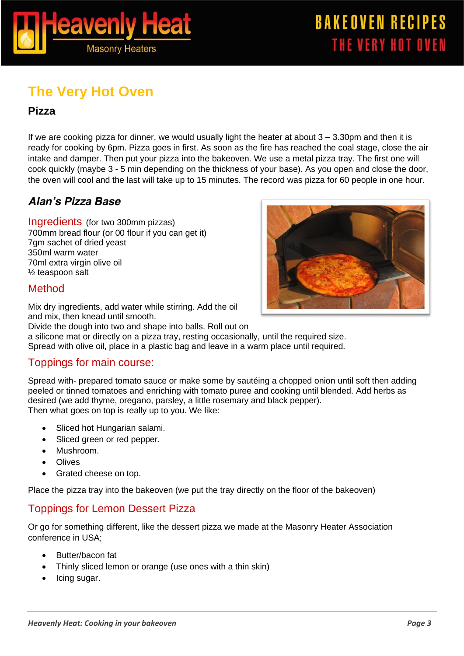

# <span id="page-2-0"></span>**The Very Hot Oven**

### <span id="page-2-1"></span>**Pizza**

If we are cooking pizza for dinner, we would usually light the heater at about  $3 - 3.30$  pm and then it is ready for cooking by 6pm. Pizza goes in first. As soon as the fire has reached the coal stage, close the air intake and damper. Then put your pizza into the bakeoven. We use a metal pizza tray. The first one will cook quickly (maybe 3 - 5 min depending on the thickness of your base). As you open and close the door, the oven will cool and the last will take up to 15 minutes. The record was pizza for 60 people in one hour.

# <span id="page-2-2"></span>*Alan's Pizza Base*

*Ingredients* (for two 300mm pizzas) 700mm bread flour (or 00 flour if you can get it) 7gm sachet of dried yeast 350ml warm water 70ml extra virgin olive oil ½ teaspoon salt

### *Method*

Mix dry ingredients, add water while stirring. Add the oil and mix, then knead until smooth.

Divide the dough into two and shape into balls. Roll out on

a silicone mat or directly on a pizza tray, resting occasionally, until the required size. Spread with olive oil, place in a plastic bag and leave in a warm place until required.

### *Toppings for main course:*

Spread with- prepared tomato sauce or make some by sautéing a chopped onion until soft then adding peeled or tinned tomatoes and enriching with tomato puree and cooking until blended. Add herbs as desired (we add thyme, oregano, parsley, a little rosemary and black pepper). Then what goes on top is really up to you. We like:

- Sliced hot Hungarian salami.
- Sliced green or red pepper.
- Mushroom.
- Olives
- Grated cheese on top.

Place the pizza tray into the bakeoven (we put the tray directly on the floor of the bakeoven)

### *Toppings for Lemon Dessert Pizza*

Or go for something different, like the dessert pizza we made at the Masonry Heater Association conference in USA;

- Butter/bacon fat
- Thinly sliced lemon or orange (use ones with a thin skin)
- Icing sugar.

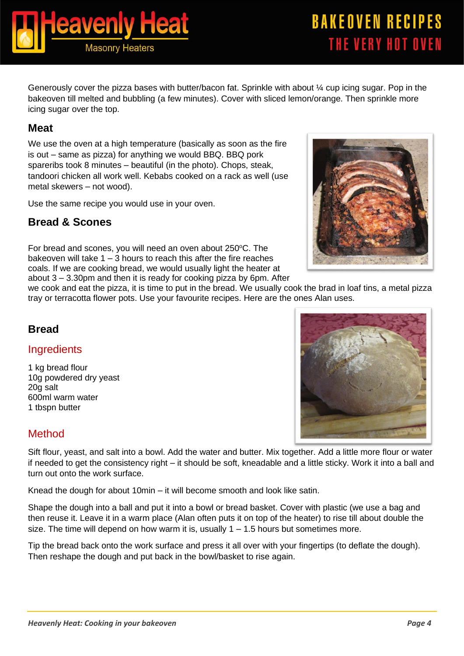Generously cover the pizza bases with butter/bacon fat. Sprinkle with about ¼ cup icing sugar. Pop in the bakeoven till melted and bubbling (a few minutes). Cover with sliced lemon/orange. Then sprinkle more icing sugar over the top.

### <span id="page-3-0"></span>**Meat**

We use the oven at a high temperature (basically as soon as the fire is out – same as pizza) for anything we would BBQ. BBQ pork spareribs took 8 minutes – beautiful (in the photo). Chops, steak, tandoori chicken all work well. Kebabs cooked on a rack as well (use metal skewers – not wood).

Use the same recipe you would use in your oven.

# <span id="page-3-1"></span>**Bread & Scones**

For bread and scones, you will need an oven about 250°C. The bakeoven will take  $1 - 3$  hours to reach this after the fire reaches coals. If we are cooking bread, we would usually light the heater at about 3 – 3.30pm and then it is ready for cooking pizza by 6pm. After

we cook and eat the pizza, it is time to put in the bread. We usually cook the brad in loaf tins, a metal pizza tray or terracotta flower pots. Use your favourite recipes. Here are the ones Alan uses.

### <span id="page-3-2"></span>*Bread*

### *Ingredients*

1 kg bread flour 10g powdered dry yeast 20g salt 600ml warm water 1 tbspn butter

### *Method*

Sift flour, yeast, and salt into a bowl. Add the water and butter. Mix together. Add a little more flour or water if needed to get the consistency right – it should be soft, kneadable and a little sticky. Work it into a ball and turn out onto the work surface.

Knead the dough for about 10min – it will become smooth and look like satin.

Shape the dough into a ball and put it into a bowl or bread basket. Cover with plastic (we use a bag and then reuse it. Leave it in a warm place (Alan often puts it on top of the heater) to rise till about double the size. The time will depend on how warm it is, usually  $1 - 1.5$  hours but sometimes more.

Tip the bread back onto the work surface and press it all over with your fingertips (to deflate the dough). Then reshape the dough and put back in the bowl/basket to rise again.





# **BAKEOVEN RECIPES** THE VERY HOT OVEN

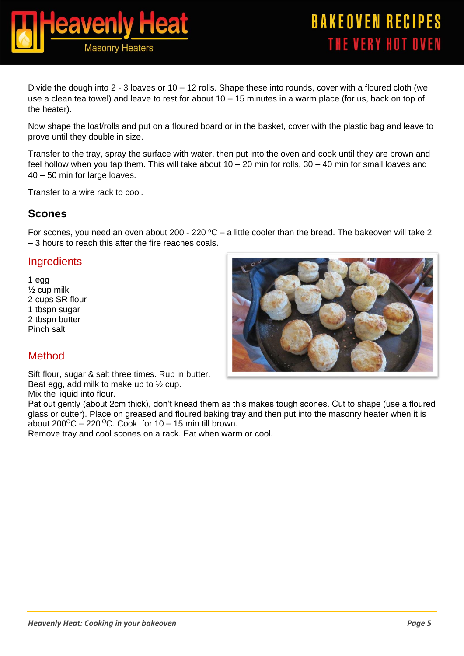

Divide the dough into 2 - 3 loaves or 10 – 12 rolls. Shape these into rounds, cover with a floured cloth (we use a clean tea towel) and leave to rest for about 10 – 15 minutes in a warm place (for us, back on top of the heater).

Now shape the loaf/rolls and put on a floured board or in the basket, cover with the plastic bag and leave to prove until they double in size.

Transfer to the tray, spray the surface with water, then put into the oven and cook until they are brown and feel hollow when you tap them. This will take about 10 – 20 min for rolls, 30 – 40 min for small loaves and 40 – 50 min for large loaves.

Transfer to a wire rack to cool.

### <span id="page-4-0"></span>*Scones*

For scones, you need an oven about 200 - 220  $\degree$ C – a little cooler than the bread. The bakeoven will take 2 – 3 hours to reach this after the fire reaches coals.

#### *Ingredients*

1 egg ½ cup milk 2 cups SR flour 1 tbspn sugar 2 tbspn butter Pinch salt



### *Method*

Sift flour, sugar & salt three times. Rub in butter. Beat egg, add milk to make up to ½ cup.

Mix the liquid into flour.

Pat out gently (about 2cm thick), don't knead them as this makes tough scones. Cut to shape (use a floured glass or cutter). Place on greased and floured baking tray and then put into the masonry heater when it is about  $200^{\circ}$ C – 220 <sup>o</sup>C. Cook for 10 – 15 min till brown.

Remove tray and cool scones on a rack. Eat when warm or cool.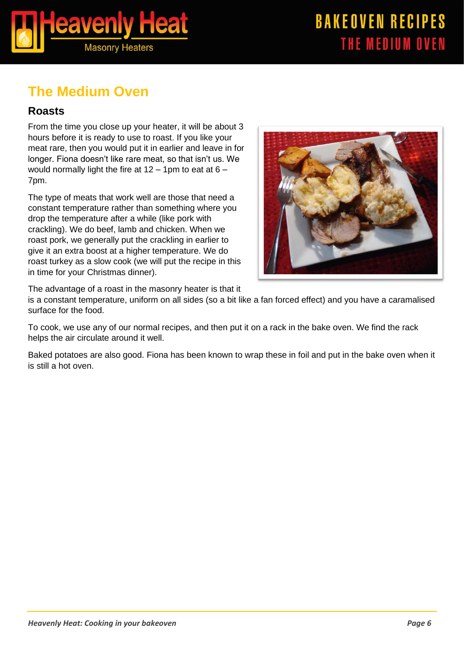

# <span id="page-5-0"></span>**The Medium Oven**

### <span id="page-5-1"></span>**Roasts**

From the time you close up your heater, it will be about 3 hours before it is ready to use to roast. If you like your meat rare, then you would put it in earlier and leave in for longer. Fiona doesn't like rare meat, so that isn't us. We would normally light the fire at  $12 - 1$ pm to eat at  $6 - 1$ 7pm.

The type of meats that work well are those that need a constant temperature rather than something where you drop the temperature after a while (like pork with crackling). We do beef, lamb and chicken. When we roast pork, we generally put the crackling in earlier to give it an extra boost at a higher temperature. We do roast turkey as a slow cook (we will put the recipe in this in time for your Christmas dinner).



The advantage of a roast in the masonry heater is that it

is a constant temperature, uniform on all sides (so a bit like a fan forced effect) and you have a caramalised surface for the food.

To cook, we use any of our normal recipes, and then put it on a rack in the bake oven. We find the rack helps the air circulate around it well.

Baked potatoes are also good. Fiona has been known to wrap these in foil and put in the bake oven when it is still a hot oven.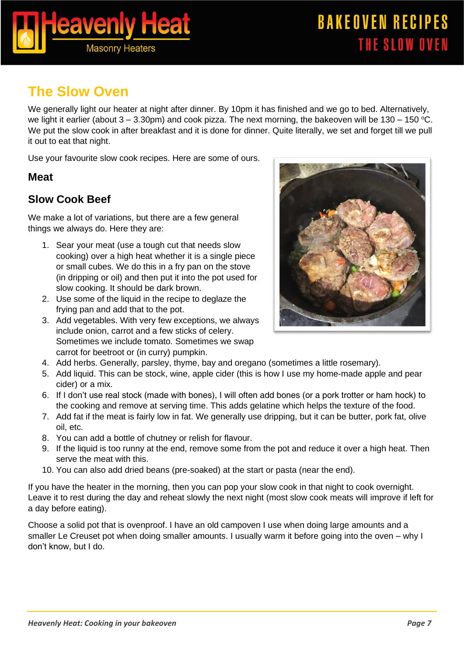

# <span id="page-6-0"></span>**The Slow Oven**

We generally light our heater at night after dinner. By 10pm it has finished and we go to bed. Alternatively, we light it earlier (about  $3 - 3.30$ pm) and cook pizza. The next morning, the bakeoven will be 130 – 150 °C. We put the slow cook in after breakfast and it is done for dinner. Quite literally, we set and forget till we pull it out to eat that night.

Use your favourite slow cook recipes. Here are some of ours.

### <span id="page-6-1"></span>**Meat**

# <span id="page-6-2"></span>*Slow Cook Beef*

We make a lot of variations, but there are a few general things we always do. Here they are:

- 1. Sear your meat (use a tough cut that needs slow cooking) over a high heat whether it is a single piece or small cubes. We do this in a fry pan on the stove (in dripping or oil) and then put it into the pot used for slow cooking. It should be dark brown.
- 2. Use some of the liquid in the recipe to deglaze the frying pan and add that to the pot.
- 3. Add vegetables. With very few exceptions, we always include onion, carrot and a few sticks of celery. Sometimes we include tomato. Sometimes we swap carrot for beetroot or (in curry) pumpkin.



- 4. Add herbs. Generally, parsley, thyme, bay and oregano (sometimes a little rosemary).
- 5. Add liquid. This can be stock, wine, apple cider (this is how I use my home-made apple and pear cider) or a mix.
- 6. If I don't use real stock (made with bones), I will often add bones (or a pork trotter or ham hock) to the cooking and remove at serving time. This adds gelatine which helps the texture of the food.
- 7. Add fat if the meat is fairly low in fat. We generally use dripping, but it can be butter, pork fat, olive oil, etc.
- 8. You can add a bottle of chutney or relish for flavour.
- 9. If the liquid is too runny at the end, remove some from the pot and reduce it over a high heat. Then serve the meat with this.
- 10. You can also add dried beans (pre-soaked) at the start or pasta (near the end).

If you have the heater in the morning, then you can pop your slow cook in that night to cook overnight. Leave it to rest during the day and reheat slowly the next night (most slow cook meats will improve if left for a day before eating).

Choose a solid pot that is ovenproof. I have an old campoven I use when doing large amounts and a smaller Le Creuset pot when doing smaller amounts. I usually warm it before going into the oven – why I don't know, but I do.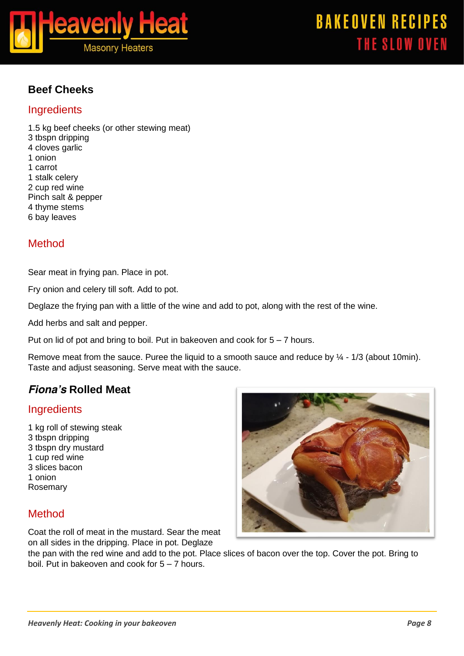

# <span id="page-7-0"></span>*Beef Cheeks*

#### *Ingredients*

1.5 kg beef cheeks (or other stewing meat) 3 tbspn dripping 4 cloves garlic 1 onion 1 carrot 1 stalk celery 2 cup red wine Pinch salt & pepper 4 thyme stems 6 bay leaves

# *Method*

Sear meat in frying pan. Place in pot.

Fry onion and celery till soft. Add to pot.

Deglaze the frying pan with a little of the wine and add to pot, along with the rest of the wine.

Add herbs and salt and pepper.

Put on lid of pot and bring to boil. Put in bakeoven and cook for  $5 - 7$  hours.

Remove meat from the sauce. Puree the liquid to a smooth sauce and reduce by  $\frac{1}{4}$  - 1/3 (about 10min). Taste and adjust seasoning. Serve meat with the sauce.

# <span id="page-7-1"></span>*Fiona's Rolled Meat*

### *Ingredients*

1 kg roll of stewing steak 3 tbspn dripping 3 tbspn dry mustard 1 cup red wine 3 slices bacon 1 onion Rosemary

### *Method*

Coat the roll of meat in the mustard. Sear the meat on all sides in the dripping. Place in pot. Deglaze



the pan with the red wine and add to the pot. Place slices of bacon over the top. Cover the pot. Bring to boil. Put in bakeoven and cook for 5 – 7 hours.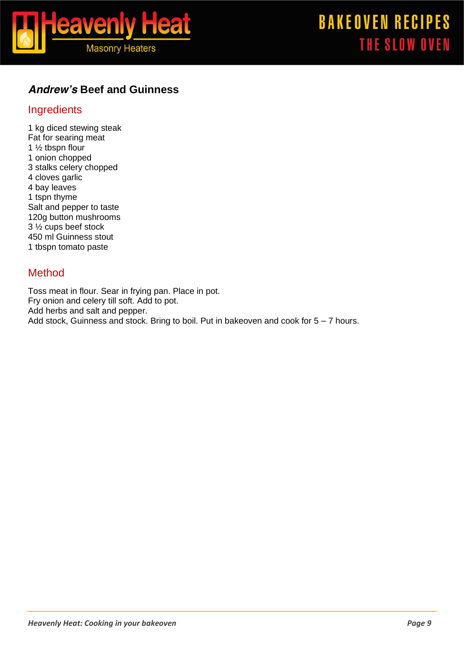

### <span id="page-8-0"></span>*Andrew's Beef and Guinness*

### *Ingredients*

1 kg diced stewing steak Fat for searing meat 1 ½ tbspn flour 1 onion chopped 3 stalks celery chopped 4 cloves garlic 4 bay leaves 1 tspn thyme Salt and pepper to taste 120g button mushrooms 3 ½ cups beef stock 450 ml Guinness stout 1 tbspn tomato paste

### *Method*

Toss meat in flour. Sear in frying pan. Place in pot. Fry onion and celery till soft. Add to pot. Add herbs and salt and pepper. Add stock, Guinness and stock. Bring to boil. Put in bakeoven and cook for  $5 - 7$  hours.